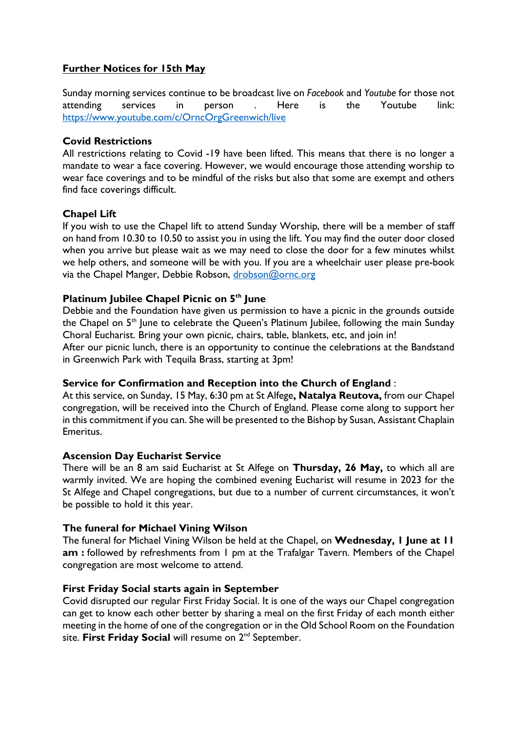# **Further Notices for 15th May**

Sunday morning services continue to be broadcast live on *Facebook* and *Youtube* for those not attending services in person . Here is the Youtube link: https://www.youtube.com/c/OrncOrgGreenwich/live

## **Covid Restrictions**

All restrictions relating to Covid -19 have been lifted. This means that there is no longer a mandate to wear a face covering. However, we would encourage those attending worship to wear face coverings and to be mindful of the risks but also that some are exempt and others find face coverings difficult.

### **Chapel Lift**

If you wish to use the Chapel lift to attend Sunday Worship, there will be a member of staff on hand from 10.30 to 10.50 to assist you in using the lift. You may find the outer door closed when you arrive but please wait as we may need to close the door for a few minutes whilst we help others, and someone will be with you. If you are a wheelchair user please pre-book via the Chapel Manger, Debbie Robson, drobson@ornc.org

### **Platinum Jubilee Chapel Picnic on 5th June**

Debbie and the Foundation have given us permission to have a picnic in the grounds outside the Chapel on 5<sup>th</sup> June to celebrate the Queen's Platinum Jubilee, following the main Sunday Choral Eucharist. Bring your own picnic, chairs, table, blankets, etc, and join in!

After our picnic lunch, there is an opportunity to continue the celebrations at the Bandstand in Greenwich Park with Tequila Brass, starting at 3pm!

## **Service for Confirmation and Reception into the Church of England** :

At this service, on Sunday, 15 May, 6:30 pm at St Alfege**, Natalya Reutova,** from our Chapel congregation, will be received into the Church of England. Please come along to support her in this commitment if you can. She will be presented to the Bishop by Susan, Assistant Chaplain Emeritus.

#### **Ascension Day Eucharist Service**

There will be an 8 am said Eucharist at St Alfege on **Thursday, 26 May,** to which all are warmly invited. We are hoping the combined evening Eucharist will resume in 2023 for the St Alfege and Chapel congregations, but due to a number of current circumstances, it won't be possible to hold it this year.

#### **The funeral for Michael Vining Wilson**

The funeral for Michael Vining Wilson be held at the Chapel, on **Wednesday, 1 June at 11 am :** followed by refreshments from 1 pm at the Trafalgar Tavern. Members of the Chapel congregation are most welcome to attend.

#### **First Friday Social starts again in September**

Covid disrupted our regular First Friday Social. It is one of the ways our Chapel congregation can get to know each other better by sharing a meal on the first Friday of each month either meeting in the home of one of the congregation or in the Old School Room on the Foundation site. **First Friday Social** will resume on 2<sup>nd</sup> September.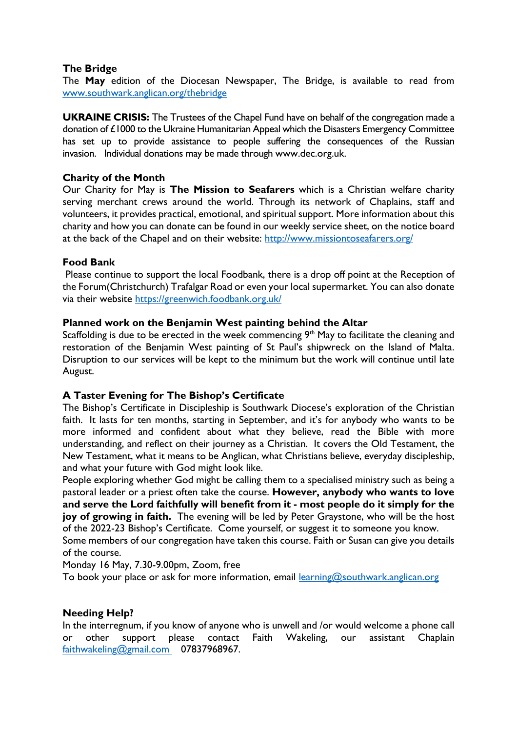## **The Bridge**

The **May** edition of the Diocesan Newspaper, The Bridge, is available to read from www.southwark.anglican.org/thebridge

**UKRAINE CRISIS:** The Trustees of the Chapel Fund have on behalf of the congregation made a donation of £1000 to the Ukraine Humanitarian Appeal which the Disasters Emergency Committee has set up to provide assistance to people suffering the consequences of the Russian invasion. Individual donations may be made through www.dec.org.uk.

### **Charity of the Month**

Our Charity for May is **The Mission to Seafarers** which is a Christian welfare charity serving merchant crews around the world. Through its network of Chaplains, staff and volunteers, it provides practical, emotional, and spiritual support. More information about this charity and how you can donate can be found in our weekly service sheet, on the notice board at the back of the Chapel and on their website: http://www.missiontoseafarers.org/

### **Food Bank**

Please continue to support the local Foodbank, there is a drop off point at the Reception of the Forum(Christchurch) Trafalgar Road or even your local supermarket. You can also donate via their website https://greenwich.foodbank.org.uk/

### **Planned work on the Benjamin West painting behind the Altar**

Scaffolding is due to be erected in the week commencing  $9<sup>th</sup>$  May to facilitate the cleaning and restoration of the Benjamin West painting of St Paul's shipwreck on the Island of Malta. Disruption to our services will be kept to the minimum but the work will continue until late August.

## **A Taster Evening for The Bishop's Certificate**

The Bishop's Certificate in Discipleship is Southwark Diocese's exploration of the Christian faith. It lasts for ten months, starting in September, and it's for anybody who wants to be more informed and confident about what they believe, read the Bible with more understanding, and reflect on their journey as a Christian. It covers the Old Testament, the New Testament, what it means to be Anglican, what Christians believe, everyday discipleship, and what your future with God might look like.

People exploring whether God might be calling them to a specialised ministry such as being a pastoral leader or a priest often take the course. **However, anybody who wants to love and serve the Lord faithfully will benefit from it - most people do it simply for the joy of growing in faith.** The evening will be led by Peter Graystone, who will be the host of the 2022-23 Bishop's Certificate. Come yourself, or suggest it to someone you know.

Some members of our congregation have taken this course. Faith or Susan can give you details of the course.

Monday 16 May, 7.30-9.00pm, Zoom, free

To book your place or ask for more information, email learning@southwark.anglican.org

#### **Needing Help?**

In the interregnum, if you know of anyone who is unwell and /or would welcome a phone call or other support please contact Faith Wakeling, our assistant Chaplain faithwakeling@gmail.com 07837968967.